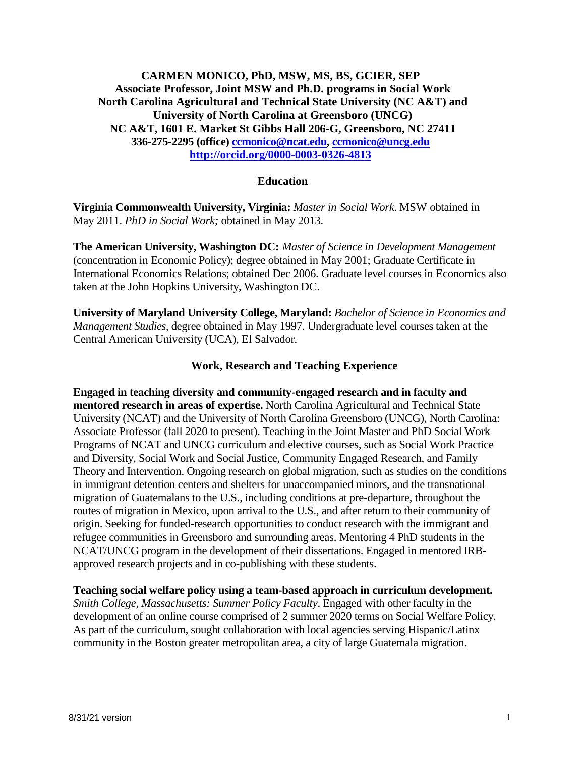# **CARMEN MONICO, PhD, MSW, MS, BS, GCIER, SEP Associate Professor, Joint MSW and Ph.D. programs in Social Work North Carolina Agricultural and Technical State University (NC A&T) and University of North Carolina at Greensboro (UNCG) NC A&T, 1601 E. Market St Gibbs Hall 206-G, Greensboro, NC 27411 336-275-2295 (office) [ccmonico@ncat.edu,](mailto:ccmonico@ncat.edu) [ccmonico@uncg.edu](mailto:ccmonico@uncg.edu) <http://orcid.org/0000-0003-0326-4813>**

# **Education**

**Virginia Commonwealth University, Virginia:** *Master in Social Work*. MSW obtained in May 2011. *PhD in Social Work;* obtained in May 2013.

**The American University, Washington DC:** *Master of Science in Development Management*  (concentration in Economic Policy); degree obtained in May 2001; Graduate Certificate in International Economics Relations; obtained Dec 2006. Graduate level courses in Economics also taken at the John Hopkins University, Washington DC.

**University of Maryland University College, Maryland:** *Bachelor of Science in Economics and Management Studies*, degree obtained in May 1997. Undergraduate level courses taken at the Central American University (UCA), El Salvador.

# **Work, Research and Teaching Experience**

**Engaged in teaching diversity and community-engaged research and in faculty and mentored research in areas of expertise.** North Carolina Agricultural and Technical State University (NCAT) and the University of North Carolina Greensboro (UNCG), North Carolina: Associate Professor (fall 2020 to present). Teaching in the Joint Master and PhD Social Work Programs of NCAT and UNCG curriculum and elective courses, such as Social Work Practice and Diversity, Social Work and Social Justice, Community Engaged Research, and Family Theory and Intervention. Ongoing research on global migration, such as studies on the conditions in immigrant detention centers and shelters for unaccompanied minors, and the transnational migration of Guatemalans to the U.S., including conditions at pre-departure, throughout the routes of migration in Mexico, upon arrival to the U.S., and after return to their community of origin. Seeking for funded-research opportunities to conduct research with the immigrant and refugee communities in Greensboro and surrounding areas. Mentoring 4 PhD students in the NCAT/UNCG program in the development of their dissertations. Engaged in mentored IRBapproved research projects and in co-publishing with these students.

**Teaching social welfare policy using a team-based approach in curriculum development.**  *Smith College, Massachusetts: Summer Policy Faculty*. Engaged with other faculty in the development of an online course comprised of 2 summer 2020 terms on Social Welfare Policy. As part of the curriculum, sought collaboration with local agencies serving Hispanic/Latinx community in the Boston greater metropolitan area, a city of large Guatemala migration.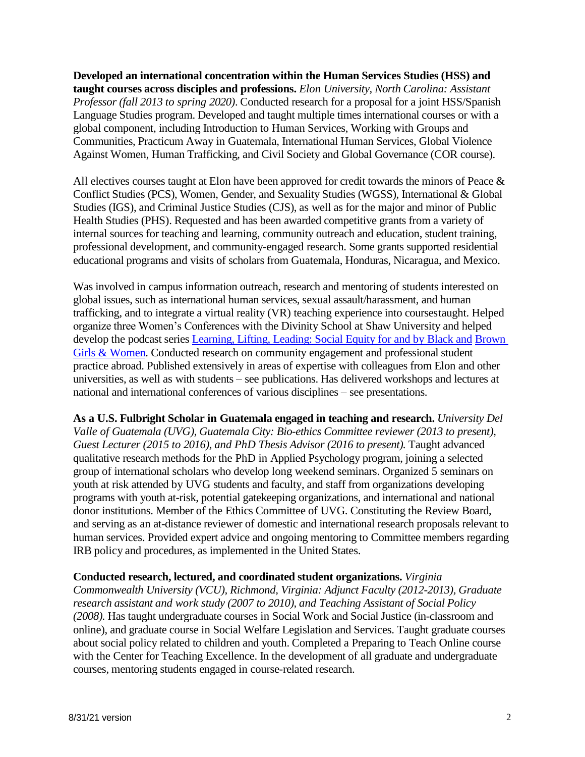**Developed an international concentration within the Human Services Studies (HSS) and taught courses across disciples and professions.** *Elon University, North Carolina: Assistant Professor (fall 2013 to spring 2020)*. Conducted research for a proposal for a joint HSS/Spanish Language Studies program. Developed and taught multiple times international courses or with a global component, including Introduction to Human Services, Working with Groups and Communities, Practicum Away in Guatemala, International Human Services, Global Violence Against Women, Human Trafficking, and Civil Society and Global Governance (COR course).

All electives courses taught at Elon have been approved for credit towards the minors of Peace & Conflict Studies (PCS), Women, Gender, and Sexuality Studies (WGSS), International & Global Studies (IGS), and Criminal Justice Studies (CJS), as well as for the major and minor of Public Health Studies (PHS). Requested and has been awarded competitive grants from a variety of internal sources for teaching and learning, community outreach and education, student training, professional development, and community-engaged research. Some grants supported residential educational programs and visits of scholars from Guatemala, Honduras, Nicaragua, and Mexico.

Was involved in campus information outreach, research and mentoring of students interested on global issues, such as international human services, sexual assault/harassment, and human trafficking, and to integrate a virtual reality (VR) teaching experience into coursestaught. Helped organize three Women's Conferences with the Divinity School at Shaw University and helped develop the podcast series [Learning, Lifting, Leading: Social Equity for and by Black and](https://blogs.elon.edu/socialequity/) [Brown](https://blogs.elon.edu/socialequity/)  [Girls & Women.](https://blogs.elon.edu/socialequity/) Conducted research on community engagement and professional student practice abroad. Published extensively in areas of expertise with colleagues from Elon and other universities, as well as with students – see publications. Has delivered workshops and lectures at national and international conferences of various disciplines – see presentations.

**As a U.S. Fulbright Scholar in Guatemala engaged in teaching and research.** *University Del Valle of Guatemala (UVG), Guatemala City: Bio-ethics Committee reviewer (2013 to present), Guest Lecturer (2015 to 2016), and PhD Thesis Advisor (2016 to present).* Taught advanced qualitative research methods for the PhD in Applied Psychology program, joining a selected group of international scholars who develop long weekend seminars. Organized 5 seminars on youth at risk attended by UVG students and faculty, and staff from organizations developing programs with youth at-risk, potential gatekeeping organizations, and international and national donor institutions. Member of the Ethics Committee of UVG. Constituting the Review Board, and serving as an at-distance reviewer of domestic and international research proposals relevant to human services. Provided expert advice and ongoing mentoring to Committee members regarding IRB policy and procedures, as implemented in the United States.

### **Conducted research, lectured, and coordinated student organizations.** *Virginia*

*Commonwealth University (VCU), Richmond, Virginia: Adjunct Faculty (2012-2013), Graduate research assistant and work study (2007 to 2010), and Teaching Assistant of Social Policy (2008).* Has taught undergraduate courses in Social Work and Social Justice (in-classroom and online), and graduate course in Social Welfare Legislation and Services. Taught graduate courses about social policy related to children and youth. Completed a Preparing to Teach Online course with the Center for Teaching Excellence. In the development of all graduate and undergraduate courses, mentoring students engaged in course-related research.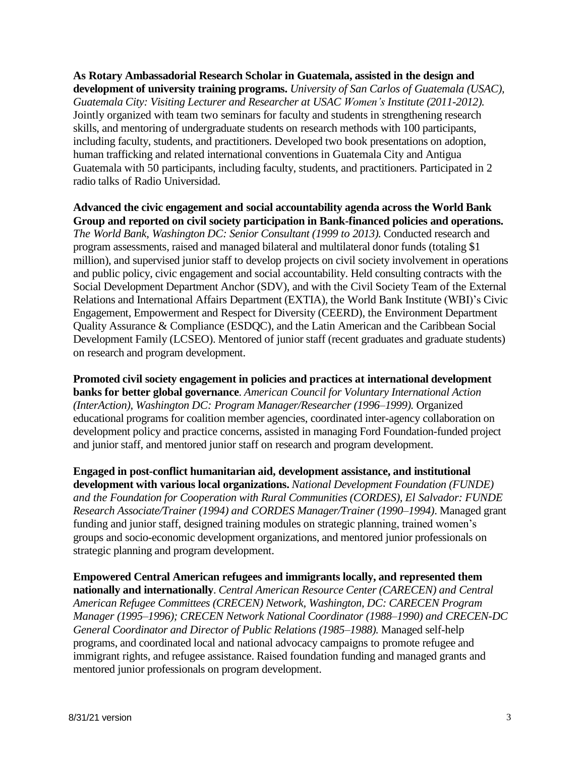**As Rotary Ambassadorial Research Scholar in Guatemala, assisted in the design and development of university training programs.** *University of San Carlos of Guatemala (USAC), Guatemala City: Visiting Lecturer and Researcher at USAC Women's Institute (2011-2012).*  Jointly organized with team two seminars for faculty and students in strengthening research skills, and mentoring of undergraduate students on research methods with 100 participants, including faculty, students, and practitioners. Developed two book presentations on adoption, human trafficking and related international conventions in Guatemala City and Antigua Guatemala with 50 participants, including faculty, students, and practitioners. Participated in 2 radio talks of Radio Universidad.

**Advanced the civic engagement and social accountability agenda across the World Bank Group and reported on civil society participation in Bank-financed policies and operations.**  *The World Bank, Washington DC: Senior Consultant (1999 to 2013).* Conducted research and program assessments, raised and managed bilateral and multilateral donor funds (totaling \$1 million), and supervised junior staff to develop projects on civil society involvement in operations and public policy, civic engagement and social accountability. Held consulting contracts with the Social Development Department Anchor (SDV), and with the Civil Society Team of the External Relations and International Affairs Department (EXTIA), the World Bank Institute (WBI)'s Civic Engagement, Empowerment and Respect for Diversity (CEERD), the Environment Department Quality Assurance & Compliance (ESDQC), and the Latin American and the Caribbean Social Development Family (LCSEO). Mentored of junior staff (recent graduates and graduate students) on research and program development.

**Promoted civil society engagement in policies and practices at international development banks for better global governance**. *American Council for Voluntary International Action (InterAction), Washington DC: Program Manager/Researcher (1996–1999).* Organized educational programs for coalition member agencies, coordinated inter-agency collaboration on development policy and practice concerns, assisted in managing Ford Foundation-funded project and junior staff, and mentored junior staff on research and program development.

**Engaged in post-conflict humanitarian aid, development assistance, and institutional development with various local organizations.** *National Development Foundation (FUNDE) and the Foundation for Cooperation with Rural Communities (CORDES), El Salvador: FUNDE Research Associate/Trainer (1994) and CORDES Manager/Trainer (1990–1994)*. Managed grant funding and junior staff, designed training modules on strategic planning, trained women's groups and socio-economic development organizations, and mentored junior professionals on strategic planning and program development.

**Empowered Central American refugees and immigrants locally, and represented them nationally and internationally**. *Central American Resource Center (CARECEN) and Central American Refugee Committees (CRECEN) Network, Washington, DC: CARECEN Program Manager (1995–1996); CRECEN Network National Coordinator (1988–1990) and CRECEN-DC General Coordinator and Director of Public Relations (1985–1988).* Managed self-help programs, and coordinated local and national advocacy campaigns to promote refugee and immigrant rights, and refugee assistance. Raised foundation funding and managed grants and mentored junior professionals on program development.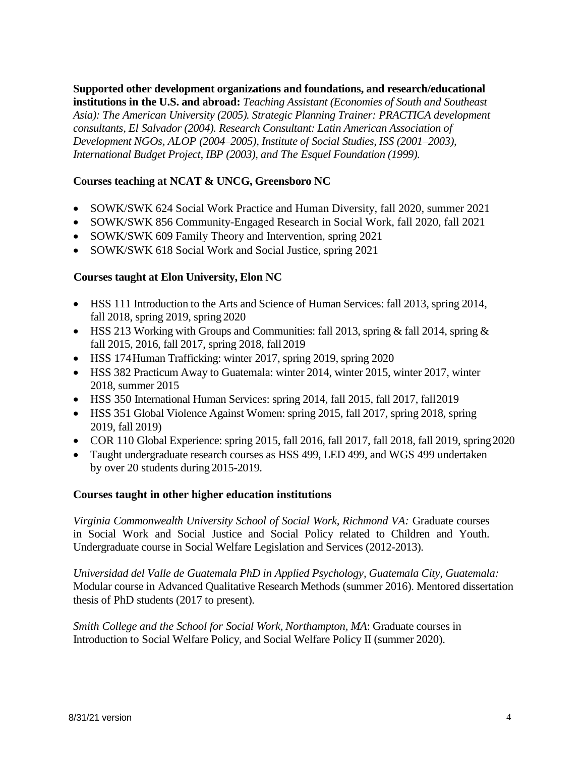**Supported other development organizations and foundations, and research/educational institutions in the U.S. and abroad:** *Teaching Assistant (Economies of South and Southeast Asia): The American University (2005). Strategic Planning Trainer: PRACTICA development consultants, El Salvador (2004). Research Consultant: Latin American Association of Development NGOs, ALOP (2004–2005), Institute of Social Studies, ISS (2001–2003), International Budget Project, IBP (2003), and The Esquel Foundation (1999).*

# **Courses teaching at NCAT & UNCG, Greensboro NC**

- SOWK/SWK 624 Social Work Practice and Human Diversity, fall 2020, summer 2021
- SOWK/SWK 856 Community-Engaged Research in Social Work, fall 2020, fall 2021
- SOWK/SWK 609 Family Theory and Intervention, spring 2021
- SOWK/SWK 618 Social Work and Social Justice, spring 2021

### **Courses taught at Elon University, Elon NC**

- HSS 111 Introduction to the Arts and Science of Human Services: fall 2013, spring 2014, fall 2018, spring 2019, spring 2020
- HSS 213 Working with Groups and Communities: fall 2013, spring & fall 2014, spring & fall 2015, 2016, fall 2017, spring 2018, fall2019
- HSS 174Human Trafficking: winter 2017, spring 2019, spring 2020
- HSS 382 Practicum Away to Guatemala: winter 2014, winter 2015, winter 2017, winter 2018, summer 2015
- HSS 350 International Human Services: spring 2014, fall 2015, fall 2017, fall2019
- HSS 351 Global Violence Against Women: spring 2015, fall 2017, spring 2018, spring 2019, fall 2019)
- COR 110 Global Experience: spring 2015, fall 2016, fall 2017, fall 2018, fall 2019, spring2020
- Taught undergraduate research courses as HSS 499, LED 499, and WGS 499 undertaken by over 20 students during 2015-2019.

### **Courses taught in other higher education institutions**

*Virginia Commonwealth University School of Social Work, Richmond VA:* Graduate courses in Social Work and Social Justice and Social Policy related to Children and Youth. Undergraduate course in Social Welfare Legislation and Services (2012-2013).

*Universidad del Valle de Guatemala PhD in Applied Psychology, Guatemala City, Guatemala:*  Modular course in Advanced Qualitative Research Methods (summer 2016). Mentored dissertation thesis of PhD students (2017 to present).

*Smith College and the School for Social Work, Northampton, MA*: Graduate courses in Introduction to Social Welfare Policy, and Social Welfare Policy II (summer 2020).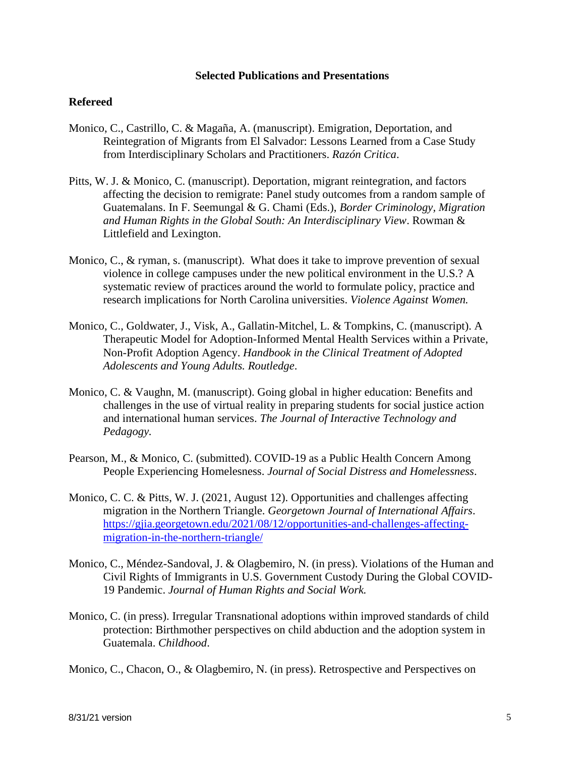#### **Selected Publications and Presentations**

# **Refereed**

- Monico, C., Castrillo, C. & Magaña, A. (manuscript). Emigration, Deportation, and Reintegration of Migrants from El Salvador: Lessons Learned from a Case Study from Interdisciplinary Scholars and Practitioners. *Razón Critica*.
- Pitts, W. J. & Monico, C. (manuscript). Deportation, migrant reintegration, and factors affecting the decision to remigrate: Panel study outcomes from a random sample of Guatemalans. In F. Seemungal & G. Chami (Eds.), *Border Criminology, Migration and Human Rights in the Global South: An Interdisciplinary View*. Rowman & Littlefield and Lexington.
- Monico, C., & ryman, s. (manuscript). What does it take to improve prevention of sexual violence in college campuses under the new political environment in the U.S.? A systematic review of practices around the world to formulate policy, practice and research implications for North Carolina universities. *Violence Against Women.*
- Monico, C., Goldwater, J., Visk, A., Gallatin-Mitchel, L. & Tompkins, C. (manuscript). A Therapeutic Model for Adoption-Informed Mental Health Services within a Private, Non-Profit Adoption Agency. *Handbook in the Clinical Treatment of Adopted Adolescents and Young Adults. Routledge*.
- Monico, C. & Vaughn, M. (manuscript). Going global in higher education: Benefits and challenges in the use of virtual reality in preparing students for social justice action and international human services. *The Journal of Interactive Technology and Pedagogy.*
- Pearson, M., & Monico, C. (submitted). COVID-19 as a Public Health Concern Among People Experiencing Homelesness. *Journal of Social Distress and Homelessness*.
- Monico, C. C. & Pitts, W. J. (2021, August 12). Opportunities and challenges affecting migration in the Northern Triangle. *Georgetown Journal of International Affairs*. [https://gjia.georgetown.edu/2021/08/12/opportunities-and-challenges-affecting](https://gjia.georgetown.edu/2021/08/12/opportunities-and-challenges-affecting-migration-in-the-northern-triangle/)[migration-in-the-northern-triangle/](https://gjia.georgetown.edu/2021/08/12/opportunities-and-challenges-affecting-migration-in-the-northern-triangle/)
- Monico, C., Méndez-Sandoval, J. & Olagbemiro, N. (in press). Violations of the Human and Civil Rights of Immigrants in U.S. Government Custody During the Global COVID-19 Pandemic. *Journal of Human Rights and Social Work.*
- Monico, C. (in press). Irregular Transnational adoptions within improved standards of child protection: Birthmother perspectives on child abduction and the adoption system in Guatemala. *Childhood*.

Monico, C., Chacon, O., & Olagbemiro, N. (in press). Retrospective and Perspectives on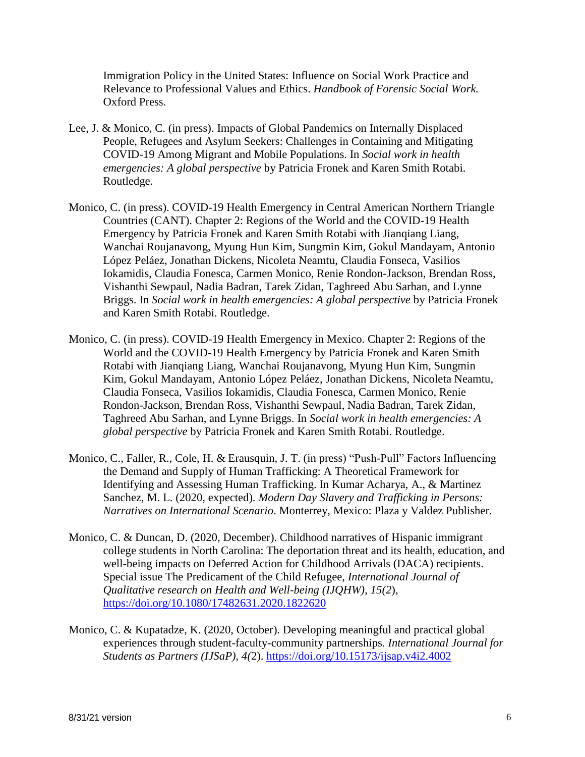Immigration Policy in the United States: Influence on Social Work Practice and Relevance to Professional Values and Ethics. *Handbook of Forensic Social Work.*  Oxford Press.

- Lee, J. & Monico, C. (in press). Impacts of Global Pandemics on Internally Displaced People, Refugees and Asylum Seekers: Challenges in Containing and Mitigating COVID-19 Among Migrant and Mobile Populations. In *Social work in health emergencies: A global perspective* by Patricia Fronek and Karen Smith Rotabi. Routledge.
- Monico, C. (in press). COVID-19 Health Emergency in Central American Northern Triangle Countries (CANT). Chapter 2: Regions of the World and the COVID-19 Health Emergency by Patricia Fronek and Karen Smith Rotabi with Jianqiang Liang, Wanchai Roujanavong, Myung Hun Kim, Sungmin Kim, Gokul Mandayam, Antonio López Peláez, Jonathan Dickens, Nicoleta Neamtu, Claudia Fonseca, Vasilios Iokamidis, Claudia Fonesca, Carmen Monico, Renie Rondon-Jackson, Brendan Ross, Vishanthi Sewpaul, Nadia Badran, Tarek Zidan, Taghreed Abu Sarhan, and Lynne Briggs. In *Social work in health emergencies: A global perspective* by Patricia Fronek and Karen Smith Rotabi. Routledge.
- Monico, C. (in press). COVID-19 Health Emergency in Mexico. Chapter 2: Regions of the World and the COVID-19 Health Emergency by Patricia Fronek and Karen Smith Rotabi with Jianqiang Liang, Wanchai Roujanavong, Myung Hun Kim, Sungmin Kim, Gokul Mandayam, Antonio López Peláez, Jonathan Dickens, Nicoleta Neamtu, Claudia Fonseca, Vasilios Iokamidis, Claudia Fonesca, Carmen Monico, Renie Rondon-Jackson, Brendan Ross, Vishanthi Sewpaul, Nadia Badran, Tarek Zidan, Taghreed Abu Sarhan, and Lynne Briggs. In *Social work in health emergencies: A global perspective* by Patricia Fronek and Karen Smith Rotabi. Routledge.
- Monico, C., Faller, R., Cole, H. & Erausquin, J. T. (in press) "Push-Pull" Factors Influencing the Demand and Supply of Human Trafficking: A Theoretical Framework for Identifying and Assessing Human Trafficking. In Kumar Acharya, A., & Martinez Sanchez, M. L. (2020, expected). *Modern Day Slavery and Trafficking in Persons: Narratives on International Scenario*. Monterrey, Mexico: Plaza y Valdez Publisher.
- Monico, C. & Duncan, D. (2020, December). Childhood narratives of Hispanic immigrant college students in North Carolina: The deportation threat and its health, education, and well-being impacts on Deferred Action for Childhood Arrivals (DACA) recipients. Special issue The Predicament of the Child Refugee, *International Journal of Qualitative research on Health and Well-being (IJQHW), 15(2*), <https://doi.org/10.1080/17482631.2020.1822620>
- Monico, C. & Kupatadze, K. (2020, October). Developing meaningful and practical global experiences through student-faculty-community partnerships. *International Journal for Students as Partners (IJSaP), 4(*2).<https://doi.org/10.15173/ijsap.v4i2.4002>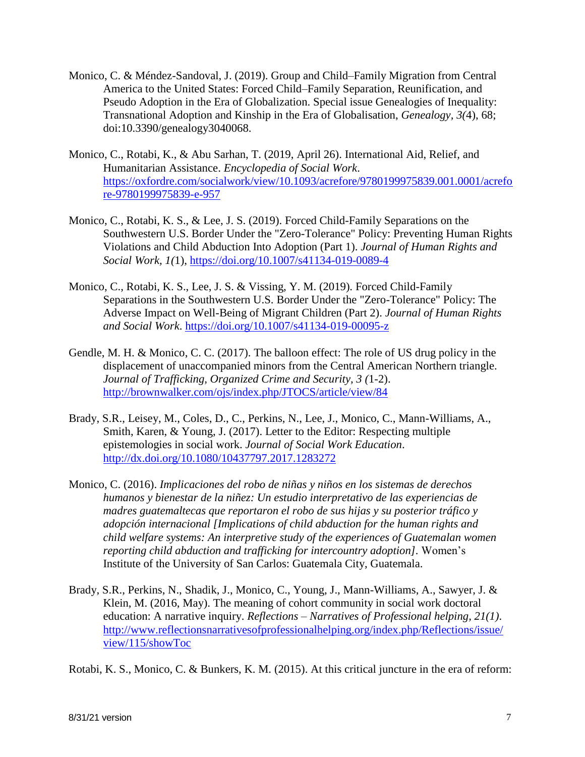- Monico, C. & Méndez-Sandoval, J. (2019). Group and Child–Family Migration from Central America to the United States: Forced Child–Family Separation, Reunification, and Pseudo Adoption in the Era of Globalization. Special issue Genealogies of Inequality: Transnational Adoption and Kinship in the Era of Globalisation, *Genealogy, 3(*4), 68; doi:10.3390/genealogy3040068.
- Monico, C., Rotabi, K., & Abu Sarhan, T. (2019, April 26). International Aid, Relief, and Humanitarian Assistance. *Encyclopedia of Social Work*. [https://oxfordre.com/socialwork/view/10.1093/acrefore/9780199975839.001.0001/acrefo](https://oxfordre.com/socialwork/view/10.1093/acrefore/9780199975839.001.0001/acrefore) [re](https://oxfordre.com/socialwork/view/10.1093/acrefore/9780199975839.001.0001/acrefore)[-9780199975839-e-957](https://oxfordre.com/socialwork/view/10.1093/acrefore/9780199975839.001.0001/acrefore-9780199975839-e-957)
- Monico, C., Rotabi, K. S., & Lee, J. S. (2019). Forced Child-Family Separations on the Southwestern U.S. Border Under the "Zero-Tolerance" Policy: Preventing Human Rights Violations and Child Abduction Into Adoption (Part 1). *Journal of Human Rights and Social Work, 1(*1),<https://doi.org/10.1007/s41134-019-0089-4>
- Monico, C., Rotabi, K. S., Lee, J. S. & Vissing, Y. M. (2019). Forced Child-Family Separations in the Southwestern U.S. Border Under the "Zero-Tolerance" Policy: The Adverse Impact on Well-Being of Migrant Children (Part 2). *Journal of Human Rights and Social Work*.<https://doi.org/10.1007/s41134-019-00095-z>
- Gendle, M. H. & Monico, C. C. (2017). The balloon effect: The role of US drug policy in the displacement of unaccompanied minors from the Central American Northern triangle. *Journal of Trafficking, Organized Crime and Security, 3 (*1-2). <http://brownwalker.com/ojs/index.php/JTOCS/article/view/84>
- Brady, S.R., Leisey, M., Coles, D., C., Perkins, N., Lee, J., Monico, C., Mann-Williams, A., Smith, Karen, & Young, J. (2017). Letter to the Editor: Respecting multiple epistemologies in social work. *Journal of Social Work Education*. <http://dx.doi.org/10.1080/10437797.2017.1283272>
- Monico, C. (2016). *Implicaciones del robo de niñas y niños en los sistemas de derechos humanos y bienestar de la niñez: Un estudio interpretativo de las experiencias de madres guatemaltecas que reportaron el robo de sus hijas y su posterior tráfico y adopción internacional [Implications of child abduction for the human rights and child welfare systems: An interpretive study of the experiences of Guatemalan women reporting child abduction and trafficking for intercountry adoption].* Women's Institute of the University of San Carlos: Guatemala City, Guatemala.
- Brady, S.R., Perkins, N., Shadik, J., Monico, C., Young, J., Mann-Williams, A., Sawyer, J. & Klein, M. (2016, May). The meaning of cohort community in social work doctoral education: A narrative inquiry. *Reflections – Narratives of Professional helping, 21(1)*. [http://www.reflectionsnarrativesofprofessionalhelping.org/index.php/Reflections/issue/](http://www.reflectionsnarrativesofprofessionalhelping.org/index.php/Reflections/issue/view/115/showToc) [view/115/showToc](http://www.reflectionsnarrativesofprofessionalhelping.org/index.php/Reflections/issue/view/115/showToc)

Rotabi, K. S., Monico, C. & Bunkers, K. M. (2015). At this critical juncture in the era of reform: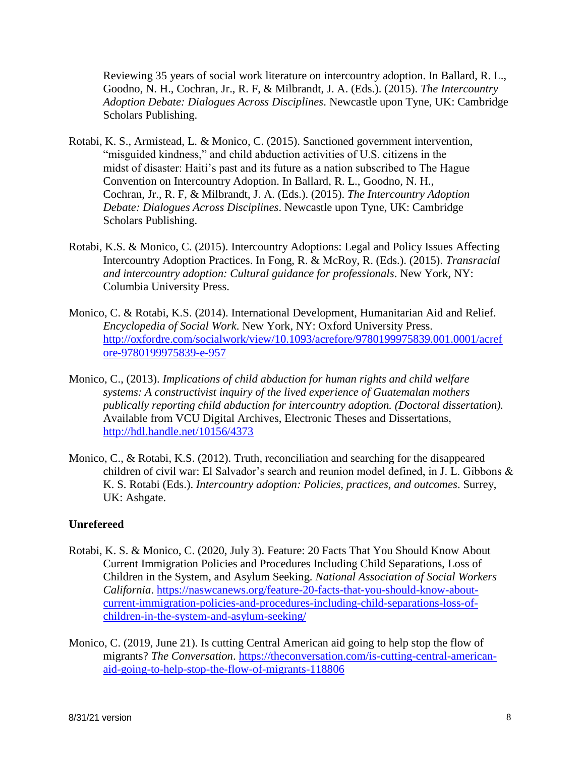Reviewing 35 years of social work literature on intercountry adoption. In Ballard, R. L., Goodno, N. H., Cochran, Jr., R. F, & Milbrandt, J. A. (Eds.). (2015). *The Intercountry Adoption Debate: Dialogues Across Disciplines*. Newcastle upon Tyne, UK: Cambridge Scholars Publishing.

- Rotabi, K. S., Armistead, L. & Monico, C. (2015). Sanctioned government intervention, "misguided kindness," and child abduction activities of U.S. citizens in the midst of disaster: Haiti's past and its future as a nation subscribed to The Hague Convention on Intercountry Adoption. In Ballard, R. L., Goodno, N. H., Cochran, Jr., R. F, & Milbrandt, J. A. (Eds.). (2015). *The Intercountry Adoption Debate: Dialogues Across Disciplines*. Newcastle upon Tyne, UK: Cambridge Scholars Publishing.
- Rotabi, K.S. & Monico, C. (2015). Intercountry Adoptions: Legal and Policy Issues Affecting Intercountry Adoption Practices. In Fong, R. & McRoy, R. (Eds.). (2015). *Transracial and intercountry adoption: Cultural guidance for professionals*. New York, NY: Columbia University Press.
- Monico, C. & Rotabi, K.S. (2014). International Development, Humanitarian Aid and Relief. *Encyclopedia of Social Work*. New York, NY: Oxford University Press. [http://oxfordre.com/socialwork/view/10.1093/acrefore/9780199975839.001.0001/acref](http://oxfordre.com/socialwork/view/10.1093/acrefore/9780199975839.001.0001/acrefore-9780199975839-e-957) [ore-9780199975839-e-957](http://oxfordre.com/socialwork/view/10.1093/acrefore/9780199975839.001.0001/acrefore-9780199975839-e-957)
- Monico, C., (2013). *Implications of child abduction for human rights and child welfare systems: A constructivist inquiry of the lived experience of Guatemalan mothers publically reporting child abduction for intercountry adoption. (Doctoral dissertation).*  Available from VCU Digital Archives, Electronic Theses and Dissertations, <http://hdl.handle.net/10156/4373>
- Monico, C., & Rotabi, K.S. (2012). Truth, reconciliation and searching for the disappeared children of civil war: El Salvador's search and reunion model defined, in J. L. Gibbons & K. S. Rotabi (Eds.). *Intercountry adoption: Policies, practices, and outcomes*. Surrey, UK: Ashgate.

#### **Unrefereed**

- Rotabi, K. S. & Monico, C. (2020, July 3). Feature: 20 Facts That You Should Know About Current Immigration Policies and Procedures Including Child Separations, Loss of Children in the System, and Asylum Seeking. *National Association of Social Workers California*. [https://naswcanews.org/feature-20-facts-that-you-should-know-about](https://naswcanews.org/feature-20-facts-that-you-should-know-about-current-immigration-policies-and-procedures-including-child-separations-loss-of-children-in-the-system-and-asylum-seeking/)[current-immigration-policies-and-procedures-including-child-separations-loss-of](https://naswcanews.org/feature-20-facts-that-you-should-know-about-current-immigration-policies-and-procedures-including-child-separations-loss-of-children-in-the-system-and-asylum-seeking/)[children-in-the-system-and-asylum-seeking/](https://naswcanews.org/feature-20-facts-that-you-should-know-about-current-immigration-policies-and-procedures-including-child-separations-loss-of-children-in-the-system-and-asylum-seeking/)
- Monico, C. (2019, June 21). Is cutting Central American aid going to help stop the flow of migrants? *The Conversation*. [https://theconversation.com/is-cutting-central-american](https://theconversation.com/is-cutting-central-american-aid-going-to-help-stop-the-flow-of-migrants-118806)[aid-going-to-help-stop-the-flow-of-migrants-118806](https://theconversation.com/is-cutting-central-american-aid-going-to-help-stop-the-flow-of-migrants-118806)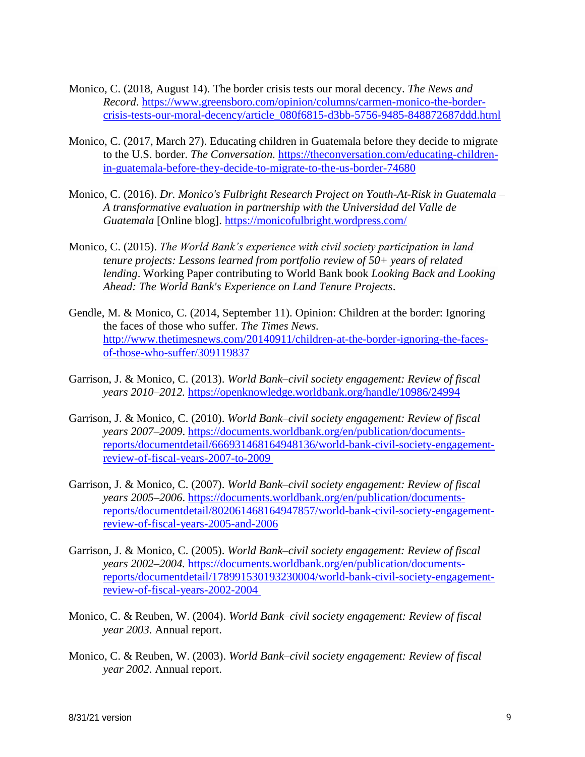- Monico, C. (2018, August 14). The border crisis tests our moral decency. *The News and Record*. [https://www.greensboro.com/opinion/columns/carmen-monico-the-border](https://www.greensboro.com/opinion/columns/carmen-monico-the-border-crisis-tests-our-moral-decency/article_080f6815-d3bb-5756-9485-848872687ddd.html)[crisis-tests-our-moral-decency/article\\_080f6815-d3bb-5756-9485-848872687ddd.html](https://www.greensboro.com/opinion/columns/carmen-monico-the-border-crisis-tests-our-moral-decency/article_080f6815-d3bb-5756-9485-848872687ddd.html)
- Monico, C. (2017, March 27). Educating children in Guatemala before they decide to migrate to the U.S. border. *The Conversation.* [https://theconversation.com/educating-children](https://theconversation.com/educating-children-in-guatemala-before-they-decide-to-migrate-to-the-us-border-74680)[in-guatemala-before-they-decide-to-migrate-to-the-us-border-74680](https://theconversation.com/educating-children-in-guatemala-before-they-decide-to-migrate-to-the-us-border-74680)
- Monico, C. (2016). *Dr. Monico's Fulbright Research Project on Youth-At-Risk in Guatemala – A transformative evaluation in partnership with the Universidad del Valle de Guatemala* [Online blog].<https://monicofulbright.wordpress.com/>
- Monico, C. (2015). *The World Bank's experience with civil society participation in land tenure projects: Lessons learned from portfolio review of 50+ years of related lending*. Working Paper contributing to World Bank book *Looking Back and Looking Ahead: The World Bank's Experience on Land Tenure Projects*.
- Gendle, M. & Monico, C. (2014, September 11). Opinion: Children at the border: Ignoring the faces of those who suffer. *The Times News.* [http://www.thetimesnews.com/20140911/children-at-the-border-ignoring-the-faces](http://www.thetimesnews.com/20140911/children-at-the-border-ignoring-the-faces-of-those-who-suffer/309119837)[of-those-who-suffer/309119837](http://www.thetimesnews.com/20140911/children-at-the-border-ignoring-the-faces-of-those-who-suffer/309119837)
- Garrison, J. & Monico, C. (2013). *World Bank–civil society engagement: Review of fiscal years 2010–2012.* <https://openknowledge.worldbank.org/handle/10986/24994>
- Garrison, J. & Monico, C. (2010). *World Bank–civil society engagement: Review of fiscal years 2007–2009*. [https://documents.worldbank.org/en/publication/documents](https://documents.worldbank.org/en/publication/documents-reports/documentdetail/666931468164948136/world-bank-civil-society-engagement-review-of-fiscal-years-2007-to-2009)[reports/documentdetail/666931468164948136/world-bank-civil-society-engagement](https://documents.worldbank.org/en/publication/documents-reports/documentdetail/666931468164948136/world-bank-civil-society-engagement-review-of-fiscal-years-2007-to-2009)[review-of-fiscal-years-2007-to-2009](https://documents.worldbank.org/en/publication/documents-reports/documentdetail/666931468164948136/world-bank-civil-society-engagement-review-of-fiscal-years-2007-to-2009)
- Garrison, J. & Monico, C. (2007). *World Bank–civil society engagement: Review of fiscal years 2005–2006*. https://documents.worldbank.org/en/publication/documentsreports/documentdetail/802061468164947857/world-bank-civil-society-engagementreview-of-fiscal-years-2005-and-2006
- Garrison, J. & Monico, C. (2005). *World Bank–civil society engagement: Review of fiscal years 2002–2004.* [https://documents.worldbank.org/en/publication/documents](https://documents.worldbank.org/en/publication/documents-reports/documentdetail/178991530193230004/world-bank-civil-society-engagement-review-of-fiscal-years-2002-2004)[reports/documentdetail/178991530193230004/world-bank-civil-society-engagement](https://documents.worldbank.org/en/publication/documents-reports/documentdetail/178991530193230004/world-bank-civil-society-engagement-review-of-fiscal-years-2002-2004)[review-of-fiscal-years-2002-2004](https://documents.worldbank.org/en/publication/documents-reports/documentdetail/178991530193230004/world-bank-civil-society-engagement-review-of-fiscal-years-2002-2004)
- Monico, C. & Reuben, W. (2004). *World Bank–civil society engagement: Review of fiscal year 2003*. Annual report.
- Monico, C. & Reuben, W. (2003). *World Bank–civil society engagement: Review of fiscal year 2002*. Annual report.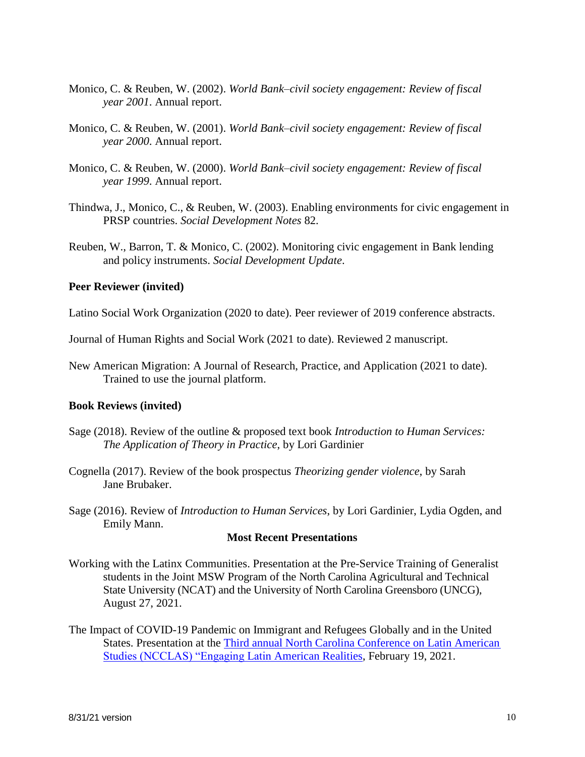- Monico, C. & Reuben, W. (2002). *World Bank–civil society engagement: Review of fiscal year 2001*. Annual report.
- Monico, C. & Reuben, W. (2001). *World Bank–civil society engagement: Review of fiscal year 2000*. Annual report.
- Monico, C. & Reuben, W. (2000). *World Bank–civil society engagement: Review of fiscal year 1999*. Annual report.
- Thindwa, J., Monico, C., & Reuben, W. (2003). Enabling environments for civic engagement in PRSP countries. *Social Development Notes* 82.
- Reuben, W., Barron, T. & Monico, C. (2002). Monitoring civic engagement in Bank lending and policy instruments. *Social Development Update*.

#### **Peer Reviewer (invited)**

Latino Social Work Organization (2020 to date). Peer reviewer of 2019 conference abstracts.

Journal of Human Rights and Social Work (2021 to date). Reviewed 2 manuscript.

New American Migration: A Journal of Research, Practice, and Application (2021 to date). Trained to use the journal platform.

#### **Book Reviews (invited)**

- Sage (2018). Review of the outline & proposed text book *Introduction to Human Services: The Application of Theory in Practice*, by Lori Gardinier
- Cognella (2017). Review of the book prospectus *Theorizing gender violence*, by Sarah Jane Brubaker.
- Sage (2016). Review of *Introduction to Human Services*, by Lori Gardinier, Lydia Ogden, and Emily Mann.

#### **Most Recent Presentations**

- Working with the Latinx Communities. Presentation at the Pre-Service Training of Generalist students in the Joint MSW Program of the North Carolina Agricultural and Technical State University (NCAT) and the University of North Carolina Greensboro (UNCG), August 27, 2021.
- The Impact of COVID-19 Pandemic on Immigrant and Refugees Globally and in the United States. Presentation at the [Third annual North Carolina Conference on Latin American](https://lacsconsortium.org/saturday-feb-20-program/)  [Studies \(NCCLAS\) "Engaging Latin American Realities,](https://lacsconsortium.org/saturday-feb-20-program/) February 19, 2021.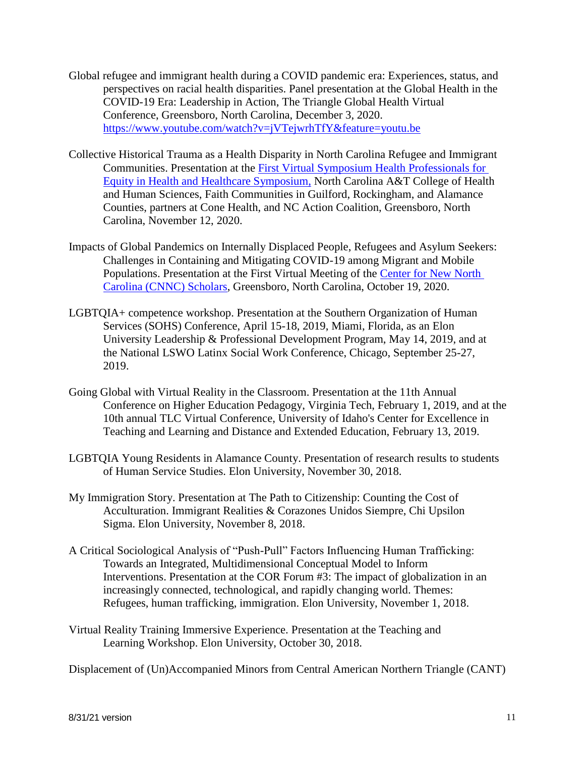- Global refugee and immigrant health during a COVID pandemic era: Experiences, status, and perspectives on racial health disparities. Panel presentation at the Global Health in the COVID-19 Era: Leadership in Action, The Triangle Global Health Virtual Conference, Greensboro, North Carolina, December 3, 2020. <https://www.youtube.com/watch?v=jVTejwrhTfY&feature=youtu.be>
- Collective Historical Trauma as a Health Disparity in North Carolina Refugee and Immigrant Communities. Presentation at the [First Virtual Symposium Health Professionals for](https://www.ncat.edu/chhs/health-disparities-symposium-presenters.php)  [Equity in Health and Healthcare Symposium,](https://www.ncat.edu/chhs/health-disparities-symposium-presenters.php) North Carolina A&T College of Health and Human Sciences, Faith Communities in Guilford, Rockingham, and Alamance Counties, partners at Cone Health, and NC Action Coalition, Greensboro, North Carolina, November 12, 2020.
- Impacts of Global Pandemics on Internally Displaced People, Refugees and Asylum Seekers: Challenges in Containing and Mitigating COVID-19 among Migrant and Mobile Populations. Presentation at the First Virtual Meeting of the [Center for New North](https://cnnc.uncg.edu/current-cnnc-research-fellows/)  [Carolina \(CNNC\) Scholars,](https://cnnc.uncg.edu/current-cnnc-research-fellows/) Greensboro, North Carolina, October 19, 2020.
- LGBTQIA+ competence workshop. Presentation at the Southern Organization of Human Services (SOHS) Conference, April 15-18, 2019, Miami, Florida, as an Elon University Leadership & Professional Development Program, May 14, 2019, and at the National LSWO Latinx Social Work Conference, Chicago, September 25-27, 2019.
- Going Global with Virtual Reality in the Classroom. Presentation at the 11th Annual Conference on Higher Education Pedagogy, Virginia Tech, February 1, 2019, and at the 10th annual TLC Virtual Conference, University of Idaho's Center for Excellence in Teaching and Learning and Distance and Extended Education, February 13, 2019.
- LGBTQIA Young Residents in Alamance County. Presentation of research results to students of Human Service Studies. Elon University, November 30, 2018.
- My Immigration Story. Presentation at The Path to Citizenship: Counting the Cost of Acculturation. Immigrant Realities & Corazones Unidos Siempre, Chi Upsilon Sigma. Elon University, November 8, 2018.
- A Critical Sociological Analysis of "Push-Pull" Factors Influencing Human Trafficking: Towards an Integrated, Multidimensional Conceptual Model to Inform Interventions. Presentation at the COR Forum #3: The impact of globalization in an increasingly connected, technological, and rapidly changing world. Themes: Refugees, human trafficking, immigration. Elon University, November 1, 2018.
- Virtual Reality Training Immersive Experience. Presentation at the Teaching and Learning Workshop. Elon University, October 30, 2018.

Displacement of (Un)Accompanied Minors from Central American Northern Triangle (CANT)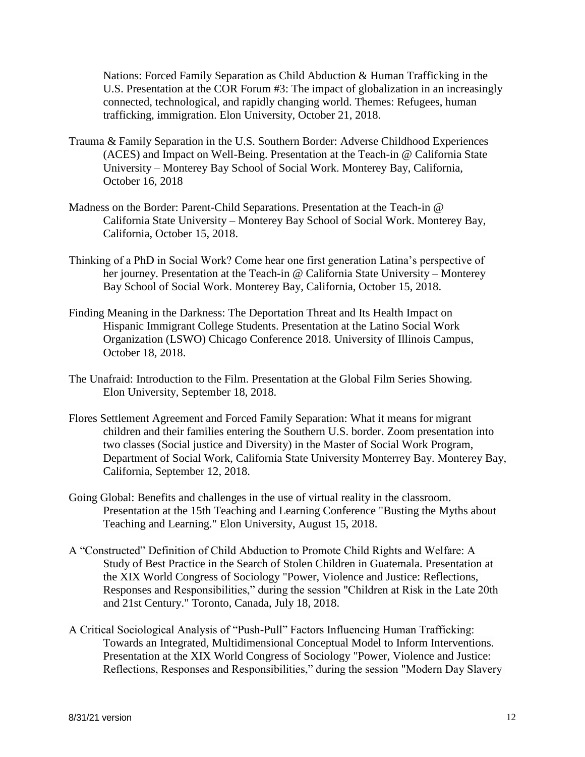Nations: Forced Family Separation as Child Abduction & Human Trafficking in the U.S. Presentation at the COR Forum #3: The impact of globalization in an increasingly connected, technological, and rapidly changing world. Themes: Refugees, human trafficking, immigration. Elon University, October 21, 2018.

- Trauma & Family Separation in the U.S. Southern Border: Adverse Childhood Experiences (ACES) and Impact on Well-Being. Presentation at the Teach-in @ California State University – Monterey Bay School of Social Work. Monterey Bay, California, October 16, 2018
- Madness on the Border: Parent-Child Separations. Presentation at the Teach-in @ California State University – Monterey Bay School of Social Work. Monterey Bay, California, October 15, 2018.
- Thinking of a PhD in Social Work? Come hear one first generation Latina's perspective of her journey. Presentation at the Teach-in @ California State University – Monterey Bay School of Social Work. Monterey Bay, California, October 15, 2018.
- Finding Meaning in the Darkness: The Deportation Threat and Its Health Impact on Hispanic Immigrant College Students. Presentation at the Latino Social Work Organization (LSWO) Chicago Conference 2018. University of Illinois Campus, October 18, 2018.
- The Unafraid: Introduction to the Film. Presentation at the Global Film Series Showing. Elon University, September 18, 2018.
- Flores Settlement Agreement and Forced Family Separation: What it means for migrant children and their families entering the Southern U.S. border. Zoom presentation into two classes (Social justice and Diversity) in the Master of Social Work Program, Department of Social Work, California State University Monterrey Bay. Monterey Bay, California, September 12, 2018.
- Going Global: Benefits and challenges in the use of virtual reality in the classroom. Presentation at the 15th Teaching and Learning Conference "Busting the Myths about Teaching and Learning." Elon University, August 15, 2018.
- A "Constructed" Definition of Child Abduction to Promote Child Rights and Welfare: A Study of Best Practice in the Search of Stolen Children in Guatemala. Presentation at the XIX World Congress of Sociology "Power, Violence and Justice: Reflections, Responses and Responsibilities," during the session "Children at Risk in the Late 20th and 21st Century." Toronto, Canada, July 18, 2018.
- A Critical Sociological Analysis of "Push-Pull" Factors Influencing Human Trafficking: Towards an Integrated, Multidimensional Conceptual Model to Inform Interventions. Presentation at the XIX World Congress of Sociology "Power, Violence and Justice: Reflections, Responses and Responsibilities," during the session "Modern Day Slavery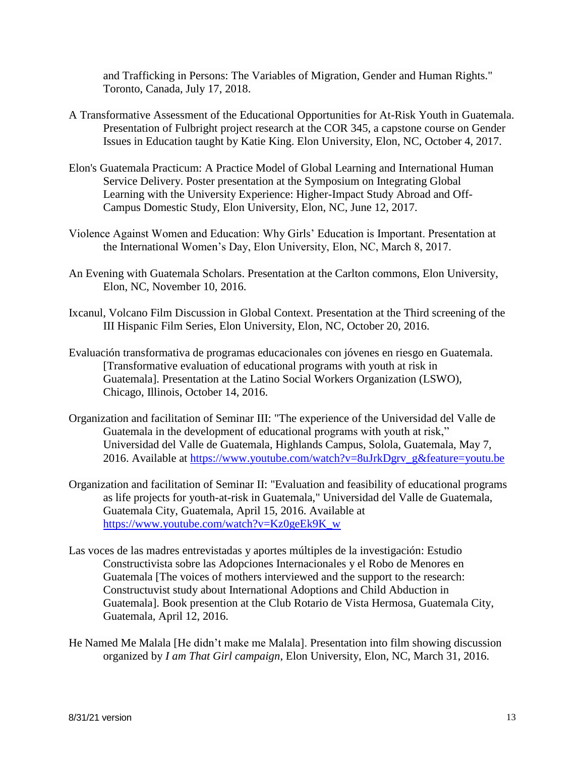and Trafficking in Persons: The Variables of Migration, Gender and Human Rights." Toronto, Canada, July 17, 2018.

- A Transformative Assessment of the Educational Opportunities for At-Risk Youth in Guatemala. Presentation of Fulbright project research at the COR 345, a capstone course on Gender Issues in Education taught by Katie King. Elon University, Elon, NC, October 4, 2017.
- Elon's Guatemala Practicum: A Practice Model of Global Learning and International Human Service Delivery. Poster presentation at the Symposium on Integrating Global Learning with the University Experience: Higher-Impact Study Abroad and Off-Campus Domestic Study, Elon University, Elon, NC, June 12, 2017.
- Violence Against Women and Education: Why Girls' Education is Important. Presentation at the International Women's Day, Elon University, Elon, NC, March 8, 2017.
- An Evening with Guatemala Scholars. Presentation at the Carlton commons, Elon University, Elon, NC, November 10, 2016.
- Ixcanul, Volcano Film Discussion in Global Context. Presentation at the Third screening of the III Hispanic Film Series, Elon University, Elon, NC, October 20, 2016.
- Evaluación transformativa de programas educacionales con jóvenes en riesgo en Guatemala. [Transformative evaluation of educational programs with youth at risk in Guatemala]. Presentation at the Latino Social Workers Organization (LSWO), Chicago, Illinois, October 14, 2016.
- Organization and facilitation of Seminar III: "The experience of the Universidad del Valle de Guatemala in the development of educational programs with youth at risk," Universidad del Valle de Guatemala, Highlands Campus, Solola, Guatemala, May 7, 2016. Available at [https://www.youtube.com/watch?v=8uJrkDgrv\\_g&feature=youtu.be](https://www.youtube.com/watch?v=8uJrkDgrv_g&feature=youtu.be)
- Organization and facilitation of Seminar II: "Evaluation and feasibility of educational programs as life projects for youth-at-risk in Guatemala," Universidad del Valle de Guatemala, Guatemala City, Guatemala, April 15, 2016. Available at [https://www.youtube.com/watch?v=Kz0geEk9K\\_w](https://www.youtube.com/watch?v=Kz0geEk9K_w)
- Las voces de las madres entrevistadas y aportes múltiples de la investigación: Estudio Constructivista sobre las Adopciones Internacionales y el Robo de Menores en Guatemala [The voices of mothers interviewed and the support to the research: Constructuvist study about International Adoptions and Child Abduction in Guatemala]. Book presention at the Club Rotario de Vista Hermosa, Guatemala City, Guatemala, April 12, 2016.
- He Named Me Malala [He didn't make me Malala]. Presentation into film showing discussion organized by *I am That Girl campaign*, Elon University, Elon, NC, March 31, 2016.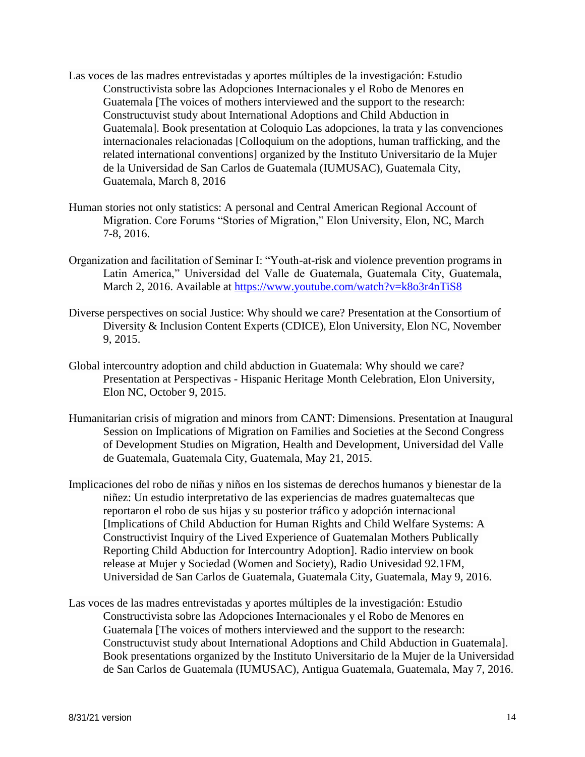- Las voces de las madres entrevistadas y aportes múltiples de la investigación: Estudio Constructivista sobre las Adopciones Internacionales y el Robo de Menores en Guatemala [The voices of mothers interviewed and the support to the research: Constructuvist study about International Adoptions and Child Abduction in Guatemala]. Book presentation at Coloquio Las adopciones, la trata y las convenciones internacionales relacionadas [Colloquium on the adoptions, human trafficking, and the related international conventions] organized by the Instituto Universitario de la Mujer de la Universidad de San Carlos de Guatemala (IUMUSAC), Guatemala City, Guatemala, March 8, 2016
- Human stories not only statistics: A personal and Central American Regional Account of Migration. Core Forums "Stories of Migration," Elon University, Elon, NC, March 7-8, 2016.
- Organization and facilitation of Seminar I: "Youth-at-risk and violence prevention programs in Latin America," Universidad del Valle de Guatemala, Guatemala City, Guatemala, March 2, 2016. Available at<https://www.youtube.com/watch?v=k8o3r4nTiS8>
- Diverse perspectives on social Justice: Why should we care? Presentation at the Consortium of Diversity & Inclusion Content Experts (CDICE), Elon University, Elon NC, November 9, 2015.
- Global intercountry adoption and child abduction in Guatemala: Why should we care? Presentation at Perspectivas - Hispanic Heritage Month Celebration, Elon University, Elon NC, October 9, 2015.
- Humanitarian crisis of migration and minors from CANT: Dimensions. Presentation at Inaugural Session on Implications of Migration on Families and Societies at the Second Congress of Development Studies on Migration, Health and Development, Universidad del Valle de Guatemala, Guatemala City, Guatemala, May 21, 2015.
- Implicaciones del robo de niñas y niños en los sistemas de derechos humanos y bienestar de la niñez: Un estudio interpretativo de las experiencias de madres guatemaltecas que reportaron el robo de sus hijas y su posterior tráfico y adopción internacional [Implications of Child Abduction for Human Rights and Child Welfare Systems: A Constructivist Inquiry of the Lived Experience of Guatemalan Mothers Publically Reporting Child Abduction for Intercountry Adoption]. Radio interview on book release at Mujer y Sociedad (Women and Society), Radio Univesidad 92.1FM, Universidad de San Carlos de Guatemala, Guatemala City, Guatemala, May 9, 2016.
- Las voces de las madres entrevistadas y aportes múltiples de la investigación: Estudio Constructivista sobre las Adopciones Internacionales y el Robo de Menores en Guatemala [The voices of mothers interviewed and the support to the research: Constructuvist study about International Adoptions and Child Abduction in Guatemala]. Book presentations organized by the Instituto Universitario de la Mujer de la Universidad de San Carlos de Guatemala (IUMUSAC), Antigua Guatemala, Guatemala, May 7, 2016.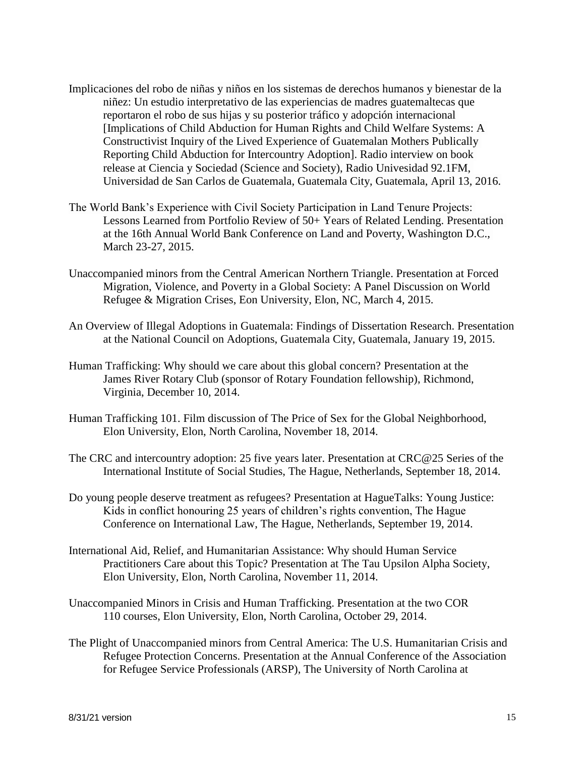- Implicaciones del robo de niñas y niños en los sistemas de derechos humanos y bienestar de la niñez: Un estudio interpretativo de las experiencias de madres guatemaltecas que reportaron el robo de sus hijas y su posterior tráfico y adopción internacional [Implications of Child Abduction for Human Rights and Child Welfare Systems: A Constructivist Inquiry of the Lived Experience of Guatemalan Mothers Publically Reporting Child Abduction for Intercountry Adoption]. Radio interview on book release at Ciencia y Sociedad (Science and Society), Radio Univesidad 92.1FM, Universidad de San Carlos de Guatemala, Guatemala City, Guatemala, April 13, 2016.
- The World Bank's Experience with Civil Society Participation in Land Tenure Projects: Lessons Learned from Portfolio Review of 50+ Years of Related Lending. Presentation at the 16th Annual World Bank Conference on Land and Poverty, Washington D.C., March 23-27, 2015.
- Unaccompanied minors from the Central American Northern Triangle. Presentation at Forced Migration, Violence, and Poverty in a Global Society: A Panel Discussion on World Refugee & Migration Crises, Eon University, Elon, NC, March 4, 2015.
- An Overview of Illegal Adoptions in Guatemala: Findings of Dissertation Research. Presentation at the National Council on Adoptions, Guatemala City, Guatemala, January 19, 2015.
- Human Trafficking: Why should we care about this global concern? Presentation at the James River Rotary Club (sponsor of Rotary Foundation fellowship), Richmond, Virginia, December 10, 2014.
- Human Trafficking 101. Film discussion of The Price of Sex for the Global Neighborhood, Elon University, Elon, North Carolina, November 18, 2014.
- The CRC and intercountry adoption: 25 five years later. Presentation at CRC@25 Series of the International Institute of Social Studies, The Hague, Netherlands, September 18, 2014.
- Do young people deserve treatment as refugees? Presentation at HagueTalks: Young Justice: Kids in conflict honouring 25 years of children's rights convention, The Hague Conference on International Law, The Hague, Netherlands, September 19, 2014.
- International Aid, Relief, and Humanitarian Assistance: Why should Human Service Practitioners Care about this Topic? Presentation at The Tau Upsilon Alpha Society, Elon University, Elon, North Carolina, November 11, 2014.
- Unaccompanied Minors in Crisis and Human Trafficking. Presentation at the two COR 110 courses, Elon University, Elon, North Carolina, October 29, 2014.
- The Plight of Unaccompanied minors from Central America: The U.S. Humanitarian Crisis and Refugee Protection Concerns. Presentation at the Annual Conference of the Association for Refugee Service Professionals (ARSP), The University of North Carolina at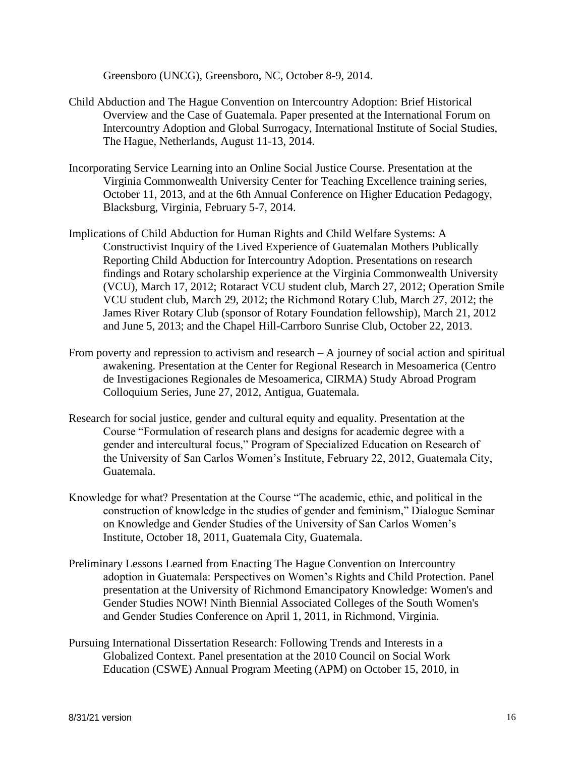Greensboro (UNCG), Greensboro, NC, October 8-9, 2014.

- Child Abduction and The Hague Convention on Intercountry Adoption: Brief Historical Overview and the Case of Guatemala. Paper presented at the International Forum on Intercountry Adoption and Global Surrogacy, International Institute of Social Studies, The Hague, Netherlands, August 11-13, 2014.
- Incorporating Service Learning into an Online Social Justice Course. Presentation at the Virginia Commonwealth University Center for Teaching Excellence training series, October 11, 2013, and at the 6th Annual Conference on Higher Education Pedagogy, Blacksburg, Virginia, February 5-7, 2014.
- Implications of Child Abduction for Human Rights and Child Welfare Systems: A Constructivist Inquiry of the Lived Experience of Guatemalan Mothers Publically Reporting Child Abduction for Intercountry Adoption. Presentations on research findings and Rotary scholarship experience at the Virginia Commonwealth University (VCU), March 17, 2012; Rotaract VCU student club, March 27, 2012; Operation Smile VCU student club, March 29, 2012; the Richmond Rotary Club, March 27, 2012; the James River Rotary Club (sponsor of Rotary Foundation fellowship), March 21, 2012 and June 5, 2013; and the Chapel Hill-Carrboro Sunrise Club, October 22, 2013.
- From poverty and repression to activism and research  $A$  journey of social action and spiritual awakening. Presentation at the Center for Regional Research in Mesoamerica (Centro de Investigaciones Regionales de Mesoamerica, CIRMA) Study Abroad Program Colloquium Series, June 27, 2012, Antigua, Guatemala.
- Research for social justice, gender and cultural equity and equality. Presentation at the Course "Formulation of research plans and designs for academic degree with a gender and intercultural focus," Program of Specialized Education on Research of the University of San Carlos Women's Institute, February 22, 2012, Guatemala City, Guatemala.
- Knowledge for what? Presentation at the Course "The academic, ethic, and political in the construction of knowledge in the studies of gender and feminism," Dialogue Seminar on Knowledge and Gender Studies of the University of San Carlos Women's Institute, October 18, 2011, Guatemala City, Guatemala.
- Preliminary Lessons Learned from Enacting The Hague Convention on Intercountry adoption in Guatemala: Perspectives on Women's Rights and Child Protection. Panel presentation at the University of Richmond Emancipatory Knowledge: Women's and Gender Studies NOW! Ninth Biennial Associated Colleges of the South Women's and Gender Studies Conference on April 1, 2011, in Richmond, Virginia.
- Pursuing International Dissertation Research: Following Trends and Interests in a Globalized Context. Panel presentation at the 2010 Council on Social Work Education (CSWE) Annual Program Meeting (APM) on October 15, 2010, in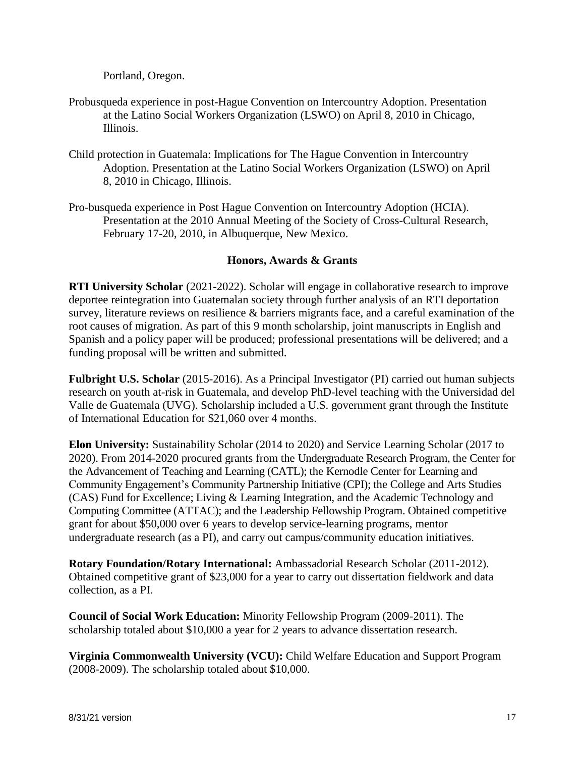Portland, Oregon.

- Probusqueda experience in post-Hague Convention on Intercountry Adoption. Presentation at the Latino Social Workers Organization (LSWO) on April 8, 2010 in Chicago, Illinois.
- Child protection in Guatemala: Implications for The Hague Convention in Intercountry Adoption. Presentation at the Latino Social Workers Organization (LSWO) on April 8, 2010 in Chicago, Illinois.
- Pro-busqueda experience in Post Hague Convention on Intercountry Adoption (HCIA). Presentation at the 2010 Annual Meeting of the Society of Cross-Cultural Research, February 17-20, 2010, in Albuquerque, New Mexico.

# **Honors, Awards & Grants**

**RTI University Scholar** (2021-2022). Scholar will engage in collaborative research to improve deportee reintegration into Guatemalan society through further analysis of an RTI deportation survey, literature reviews on resilience & barriers migrants face, and a careful examination of the root causes of migration. As part of this 9 month scholarship, joint manuscripts in English and Spanish and a policy paper will be produced; professional presentations will be delivered; and a funding proposal will be written and submitted.

**Fulbright U.S. Scholar** (2015-2016). As a Principal Investigator (PI) carried out human subjects research on youth at-risk in Guatemala, and develop PhD-level teaching with the Universidad del Valle de Guatemala (UVG). Scholarship included a U.S. government grant through the Institute of International Education for \$21,060 over 4 months.

**Elon University:** Sustainability Scholar (2014 to 2020) and Service Learning Scholar (2017 to 2020). From 2014-2020 procured grants from the Undergraduate Research Program, the Center for the Advancement of Teaching and Learning (CATL); the Kernodle Center for Learning and Community Engagement's Community Partnership Initiative (CPI); the College and Arts Studies (CAS) Fund for Excellence; Living & Learning Integration, and the Academic Technology and Computing Committee (ATTAC); and the Leadership Fellowship Program. Obtained competitive grant for about \$50,000 over 6 years to develop service-learning programs, mentor undergraduate research (as a PI), and carry out campus/community education initiatives.

**Rotary Foundation/Rotary International:** Ambassadorial Research Scholar (2011-2012). Obtained competitive grant of \$23,000 for a year to carry out dissertation fieldwork and data collection, as a PI.

**Council of Social Work Education:** Minority Fellowship Program (2009-2011). The scholarship totaled about \$10,000 a year for 2 years to advance dissertation research.

**Virginia Commonwealth University (VCU):** Child Welfare Education and Support Program (2008-2009). The scholarship totaled about \$10,000.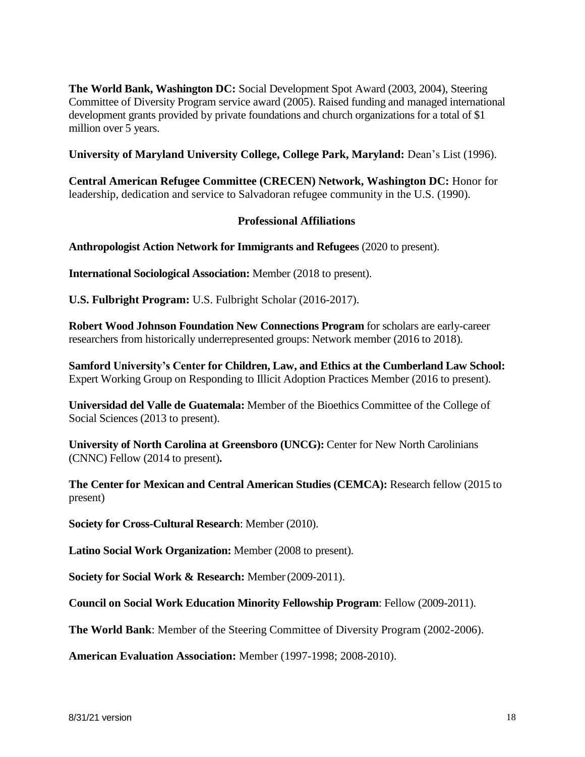**The World Bank, Washington DC:** Social Development Spot Award (2003, 2004), Steering Committee of Diversity Program service award (2005). Raised funding and managed international development grants provided by private foundations and church organizations for a total of \$1 million over 5 years.

**University of Maryland University College, College Park, Maryland:** Dean's List (1996).

**Central American Refugee Committee (CRECEN) Network, Washington DC:** Honor for leadership, dedication and service to Salvadoran refugee community in the U.S. (1990).

# **Professional Affiliations**

**Anthropologist Action Network for Immigrants and Refugees** (2020 to present).

**International Sociological Association:** Member (2018 to present).

**U.S. Fulbright Program:** U.S. Fulbright Scholar (2016-2017).

**Robert Wood Johnson Foundation New Connections Program** for scholars are early-career researchers from historically underrepresented groups: Network member (2016 to 2018).

**Samford University's Center for Children, Law, and Ethics at the Cumberland Law School:**  Expert Working Group on Responding to Illicit Adoption Practices Member (2016 to present).

**Universidad del Valle de Guatemala:** Member of the Bioethics Committee of the College of Social Sciences (2013 to present).

**University of North Carolina at Greensboro (UNCG):** Center for New North Carolinians (CNNC) Fellow (2014 to present)**.**

**The Center for Mexican and Central American Studies (CEMCA):** Research fellow (2015 to present)

**Society for Cross-Cultural Research**: Member (2010).

**Latino Social Work Organization:** Member (2008 to present).

**Society for Social Work & Research:** Member(2009-2011).

**Council on Social Work Education Minority Fellowship Program**: Fellow (2009-2011).

**The World Bank**: Member of the Steering Committee of Diversity Program (2002-2006).

**American Evaluation Association:** Member (1997-1998; 2008-2010).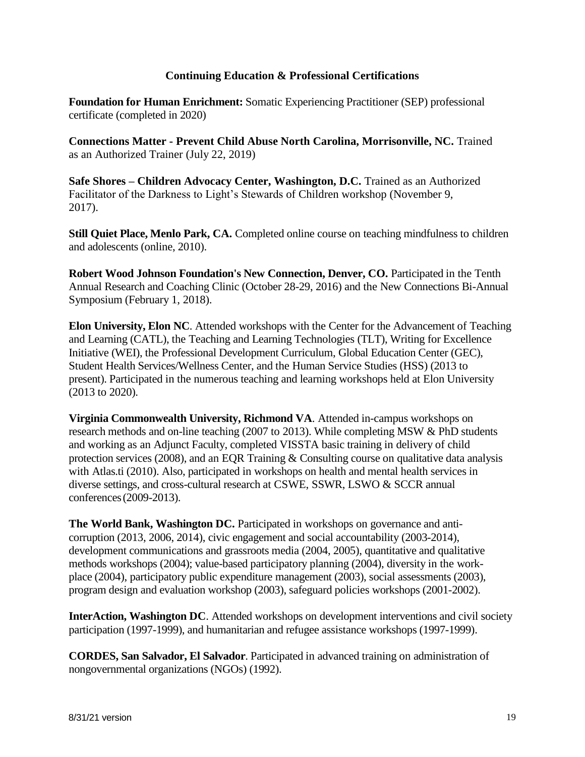# **Continuing Education & Professional Certifications**

**Foundation for Human Enrichment:** Somatic Experiencing Practitioner (SEP) professional certificate (completed in 2020)

**Connections Matter - Prevent Child Abuse North Carolina, Morrisonville, NC.** Trained as an Authorized Trainer (July 22, 2019)

**Safe Shores – Children Advocacy Center, Washington, D.C.** Trained as an Authorized Facilitator of the Darkness to Light's Stewards of Children workshop (November 9, 2017).

**Still Quiet Place, Menlo Park, CA.** Completed online course on teaching mindfulness to children and adolescents (online, 2010).

**Robert Wood Johnson Foundation's New Connection, Denver, CO. Participated in the Tenth** Annual Research and Coaching Clinic (October 28-29, 2016) and the New Connections Bi-Annual Symposium (February 1, 2018).

**Elon University, Elon NC**. Attended workshops with the Center for the Advancement of Teaching and Learning (CATL), the Teaching and Learning Technologies (TLT), Writing for Excellence Initiative (WEI), the Professional Development Curriculum, Global Education Center (GEC), Student Health Services/Wellness Center, and the Human Service Studies (HSS) (2013 to present). Participated in the numerous teaching and learning workshops held at Elon University (2013 to 2020).

**Virginia Commonwealth University, Richmond VA**. Attended in-campus workshops on research methods and on-line teaching (2007 to 2013). While completing MSW & PhD students and working as an Adjunct Faculty, completed VISSTA basic training in delivery of child protection services (2008), and an EQR Training & Consulting course on qualitative data analysis with Atlas.ti (2010). Also, participated in workshops on health and mental health services in diverse settings, and cross-cultural research at CSWE, SSWR, LSWO & SCCR annual conferences(2009-2013).

**The World Bank, Washington DC.** Participated in workshops on governance and anticorruption (2013, 2006, 2014), civic engagement and social accountability (2003-2014), development communications and grassroots media (2004, 2005), quantitative and qualitative methods workshops (2004); value-based participatory planning (2004), diversity in the workplace (2004), participatory public expenditure management (2003), social assessments (2003), program design and evaluation workshop (2003), safeguard policies workshops (2001-2002).

**InterAction, Washington DC**. Attended workshops on development interventions and civil society participation (1997-1999), and humanitarian and refugee assistance workshops (1997-1999).

**CORDES, San Salvador, El Salvador**. Participated in advanced training on administration of nongovernmental organizations (NGOs) (1992).